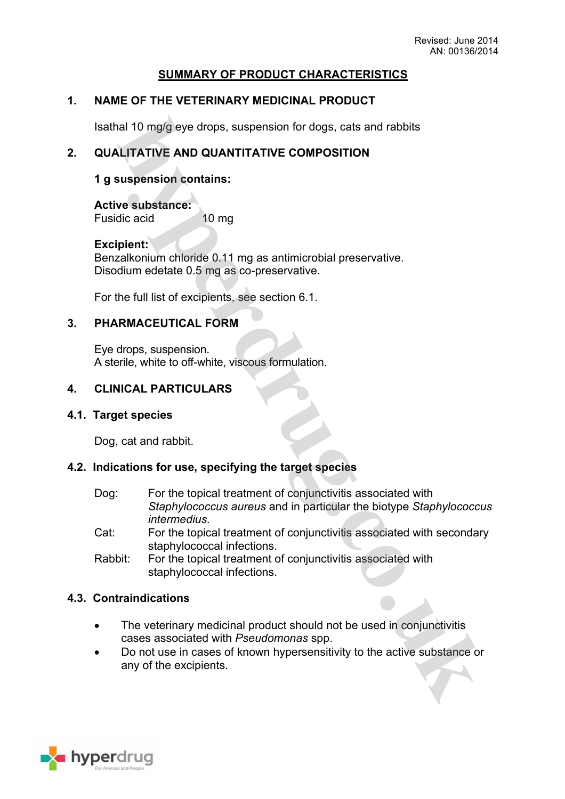# **SUMMARY OF PRODUCT CHARACTERISTICS**

# **1. NAME OF THE VETERINARY MEDICINAL PRODUCT**

Isathal 10 mg/g eye drops, suspension for dogs, cats and rabbits

## **2. QUALITATIVE AND QUANTITATIVE COMPOSITION**

## **1 g suspension contains:**

**Active substance:** Fusidic acid 10 mg

# **Excipient:**

Benzalkonium chloride 0.11 mg as antimicrobial preservative. Disodium edetate 0.5 mg as co-preservative.

For the full list of excipients, see section 6.1.

## **3. PHARMACEUTICAL FORM**

Eye drops, suspension. A sterile, white to off-white, viscous formulation.

# **4. CLINICAL PARTICULARS**

#### **4.1. Target species**

Dog, cat and rabbit.

## **4.2. Indications for use, specifying the target species**

- Dog: For the topical treatment of conjunctivitis associated with *Staphylococcus aureus* and in particular the biotype *Staphylococcus intermedius.*
- Cat: For the topical treatment of conjunctivitis associated with secondary staphylococcal infections.
- Rabbit: For the topical treatment of conjunctivitis associated with staphylococcal infections.

## **4.3. Contraindications**

- The veterinary medicinal product should not be used in conjunctivitis cases associated with *Pseudomonas* spp.
- Do not use in cases of known hypersensitivity to the active substance or any of the excipients.

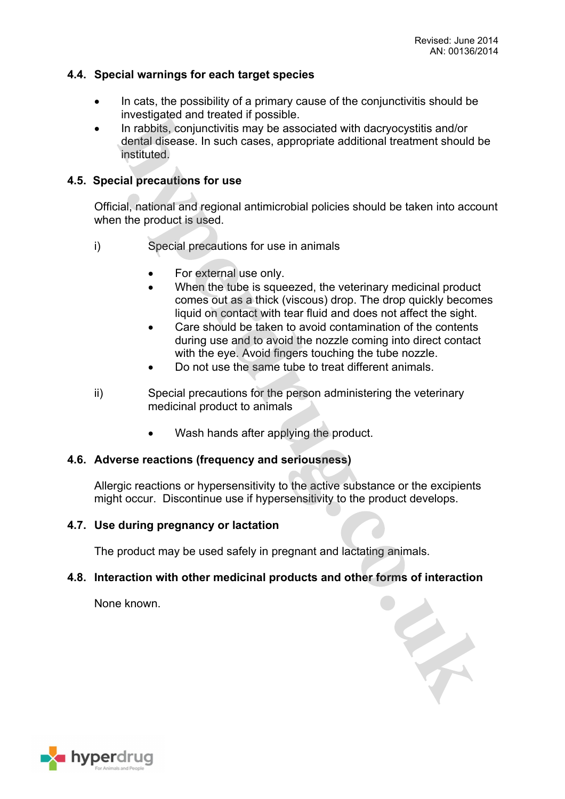## **4.4. Special warnings for each target species**

- In cats, the possibility of a primary cause of the conjunctivitis should be investigated and treated if possible.
- In rabbits, conjunctivitis may be associated with dacryocystitis and/or dental disease. In such cases, appropriate additional treatment should be instituted.

## **4.5. Special precautions for use**

Official, national and regional antimicrobial policies should be taken into account when the product is used.

- i) Special precautions for use in animals
	- For external use only.
	- When the tube is squeezed, the veterinary medicinal product comes out as a thick (viscous) drop. The drop quickly becomes liquid on contact with tear fluid and does not affect the sight.
	- Care should be taken to avoid contamination of the contents during use and to avoid the nozzle coming into direct contact with the eye. Avoid fingers touching the tube nozzle.
	- Do not use the same tube to treat different animals.
- ii) Special precautions for the person administering the veterinary medicinal product to animals
	- Wash hands after applying the product.

## **4.6. Adverse reactions (frequency and seriousness)**

Allergic reactions or hypersensitivity to the active substance or the excipients might occur. Discontinue use if hypersensitivity to the product develops.

## **4.7. Use during pregnancy or lactation**

The product may be used safely in pregnant and lactating animals.

# **4.8. Interaction with other medicinal products and other forms of interaction**

None known.

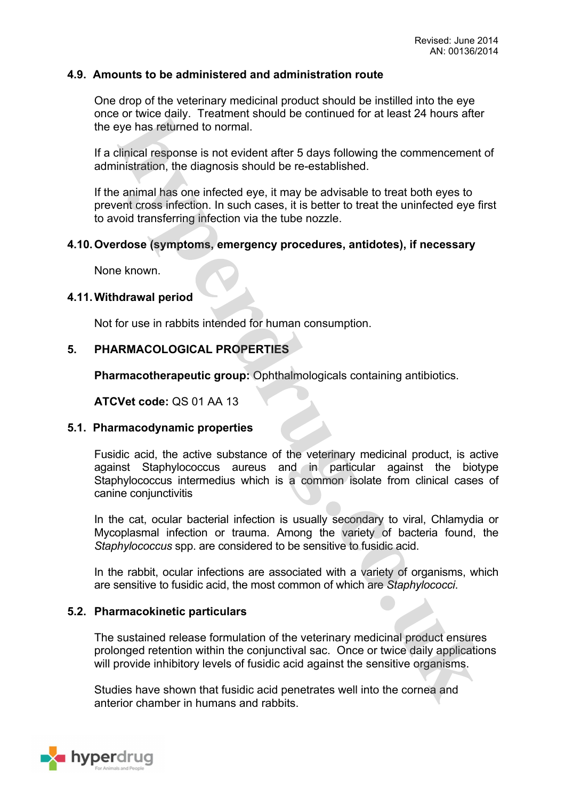#### **4.9. Amounts to be administered and administration route**

One drop of the veterinary medicinal product should be instilled into the eye once or twice daily. Treatment should be continued for at least 24 hours after the eye has returned to normal.

If a clinical response is not evident after 5 days following the commencement of administration, the diagnosis should be re-established.

If the animal has one infected eye, it may be advisable to treat both eyes to prevent cross infection. In such cases, it is better to treat the uninfected eye first to avoid transferring infection via the tube nozzle.

## **4.10.Overdose (symptoms, emergency procedures, antidotes), if necessary**

None known.

## **4.11.Withdrawal period**

Not for use in rabbits intended for human consumption.

## **5. PHARMACOLOGICAL PROPERTIES**

**Pharmacotherapeutic group:** Ophthalmologicals containing antibiotics.

## **ATCVet code:** QS 01 AA 13

## **5.1. Pharmacodynamic properties**

Fusidic acid, the active substance of the veterinary medicinal product, is active against Staphylococcus aureus and in particular against the biotype Staphylococcus intermedius which is a common isolate from clinical cases of canine conjunctivitis

In the cat, ocular bacterial infection is usually secondary to viral, Chlamydia or Mycoplasmal infection or trauma. Among the variety of bacteria found, the *Staphylococcus* spp. are considered to be sensitive to fusidic acid.

In the rabbit, ocular infections are associated with a variety of organisms, which are sensitive to fusidic acid, the most common of which are *Staphylococci*.

## **5.2. Pharmacokinetic particulars**

The sustained release formulation of the veterinary medicinal product ensures prolonged retention within the conjunctival sac. Once or twice daily applications will provide inhibitory levels of fusidic acid against the sensitive organisms.

Studies have shown that fusidic acid penetrates well into the cornea and anterior chamber in humans and rabbits.

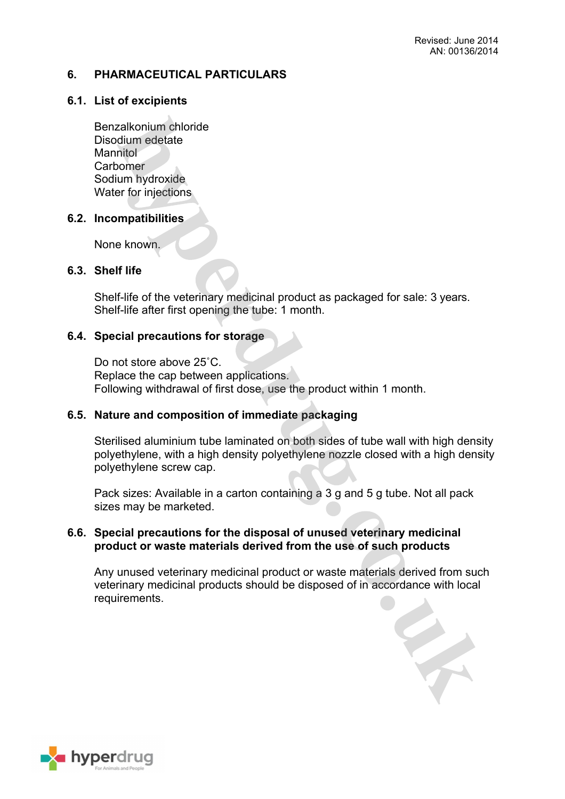## **6. PHARMACEUTICAL PARTICULARS**

## **6.1. List of excipients**

Benzalkonium chloride Disodium edetate **Mannitol** Carbomer Sodium hydroxide Water for injections

## **6.2. Incompatibilities**

None known.

## **6.3. Shelf life**

Shelf-life of the veterinary medicinal product as packaged for sale: 3 years. Shelf-life after first opening the tube: 1 month.

## **6.4. Special precautions for storage**

Do not store above 25˚C. Replace the cap between applications. Following withdrawal of first dose, use the product within 1 month.

# **6.5. Nature and composition of immediate packaging**

Sterilised aluminium tube laminated on both sides of tube wall with high density polyethylene, with a high density polyethylene nozzle closed with a high density polyethylene screw cap.

Pack sizes: Available in a carton containing a 3 g and 5 g tube. Not all pack sizes may be marketed.

## **6.6. Special precautions for the disposal of unused veterinary medicinal product or waste materials derived from the use of such products**

Any unused veterinary medicinal product or waste materials derived from such veterinary medicinal products should be disposed of in accordance with local requirements.